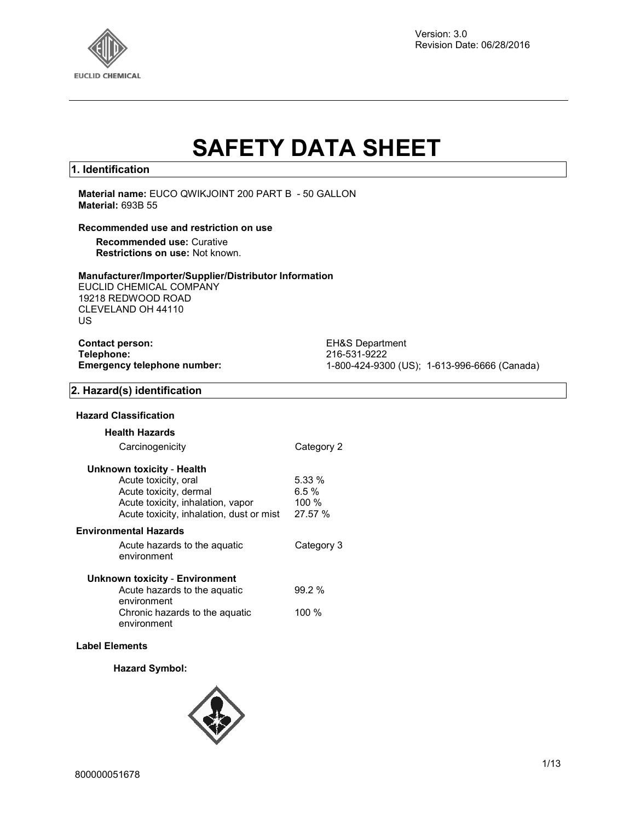

Version: 3.0 Revision Date: 06/28/2016

# **SAFETY DATA SHEET**

#### **1. Identification**

**Material name:** EUCO QWIKJOINT 200 PART B - 50 GALLON **Material:** 693B 55

#### **Recommended use and restriction on use**

**Recommended use:** Curative **Restrictions on use:** Not known.

#### **Manufacturer/Importer/Supplier/Distributor Information**

EUCLID CHEMICAL COMPANY 19218 REDWOOD ROAD CLEVELAND OH 44110 US

| <b>Contact person:</b>      |
|-----------------------------|
| Telephone:                  |
| Emergency telephone number: |

**EH&S Department Telephone:** 216-531-9222 **Emergency telephone number:** 1-800-424-9300 (US); 1-613-996-6666 (Canada)

#### **2. Hazard(s) identification**

#### **Hazard Classification**

| <b>Health Hazards</b>                         |            |
|-----------------------------------------------|------------|
| Carcinogenicity                               | Category 2 |
| Unknown toxicity - Health                     |            |
| Acute toxicity, oral                          | 5.33 %     |
| Acute toxicity, dermal                        | $6.5 \%$   |
| Acute toxicity, inhalation, vapor             | 100 $%$    |
| Acute toxicity, inhalation, dust or mist      | 27.57 %    |
| Environmental Hazards                         |            |
| Acute hazards to the aquatic<br>environment   | Category 3 |
| Unknown toxicity - Environment                |            |
| Acute hazards to the aguatic                  | 99.2%      |
| environment                                   |            |
| Chronic hazards to the aguatic<br>environment | 100 %      |

#### **Label Elements**

#### **Hazard Symbol:**

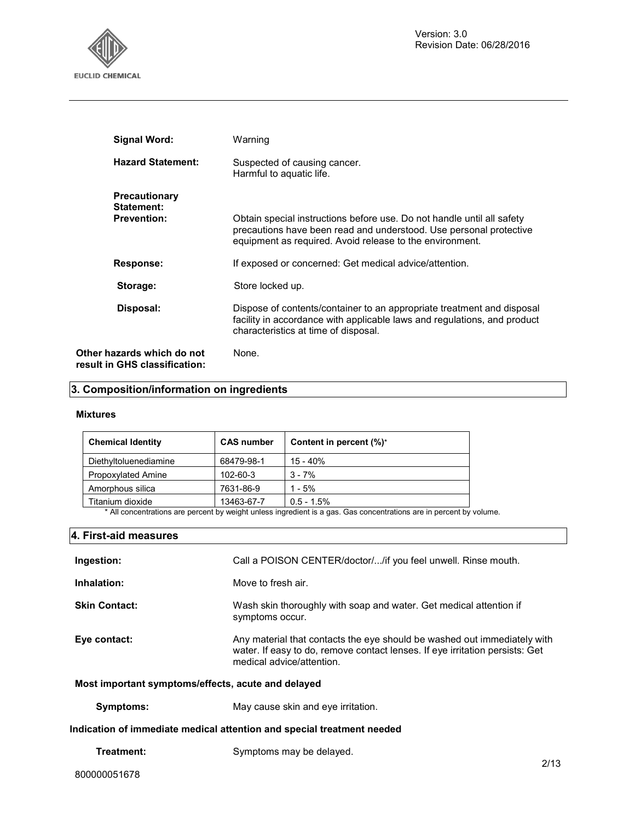

| <b>Signal Word:</b>                                         | Warning                                                                                                                                                                                                  |
|-------------------------------------------------------------|----------------------------------------------------------------------------------------------------------------------------------------------------------------------------------------------------------|
| <b>Hazard Statement:</b>                                    | Suspected of causing cancer.<br>Harmful to aquatic life.                                                                                                                                                 |
| <b>Precautionary</b><br>Statement:<br><b>Prevention:</b>    | Obtain special instructions before use. Do not handle until all safety<br>precautions have been read and understood. Use personal protective<br>equipment as required. Avoid release to the environment. |
| Response:                                                   | If exposed or concerned: Get medical advice/attention.                                                                                                                                                   |
| Storage:                                                    | Store locked up.                                                                                                                                                                                         |
| Disposal:                                                   | Dispose of contents/container to an appropriate treatment and disposal<br>facility in accordance with applicable laws and regulations, and product<br>characteristics at time of disposal.               |
| Other hazards which do not<br>result in GHS classification: | None.                                                                                                                                                                                                    |

# **3. Composition/information on ingredients**

#### **Mixtures**

| <b>Chemical Identity</b> | <b>CAS number</b> | Content in percent (%)* |
|--------------------------|-------------------|-------------------------|
| Diethyltoluenediamine    | 68479-98-1        | $15 - 40%$              |
| Propoxylated Amine       | 102-60-3          | $3 - 7%$                |
| Amorphous silica         | 7631-86-9         | $1 - 5%$                |
| Titanium dioxide         | 13463-67-7        | $0.5 - 1.5%$            |

\* All concentrations are percent by weight unless ingredient is a gas. Gas concentrations are in percent by volume.

#### **4. First-aid measures**

| Ingestion:                                         | Call a POISON CENTER/doctor//if you feel unwell. Rinse mouth.                                                                                                                         |  |
|----------------------------------------------------|---------------------------------------------------------------------------------------------------------------------------------------------------------------------------------------|--|
| Inhalation:                                        | Move to fresh air.                                                                                                                                                                    |  |
| <b>Skin Contact:</b>                               | Wash skin thoroughly with soap and water. Get medical attention if<br>symptoms occur.                                                                                                 |  |
| Eye contact:                                       | Any material that contacts the eye should be washed out immediately with<br>water. If easy to do, remove contact lenses. If eye irritation persists: Get<br>medical advice/attention. |  |
| Most important symptoms/effects, acute and delayed |                                                                                                                                                                                       |  |
| Symptoms:                                          | May cause skin and eye irritation.                                                                                                                                                    |  |

#### **Indication of immediate medical attention and special treatment needed**

| Symptoms may be delayed.<br>Treatment: |
|----------------------------------------|
|----------------------------------------|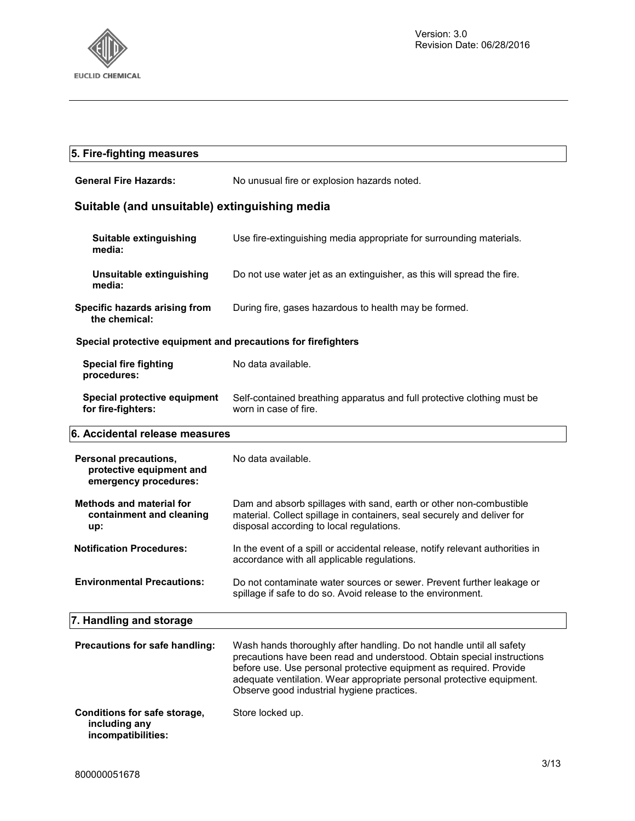

| 5. Fire-fighting measures                                                  |                                                                                                                                                                                                                                                                                                                                             |  |  |
|----------------------------------------------------------------------------|---------------------------------------------------------------------------------------------------------------------------------------------------------------------------------------------------------------------------------------------------------------------------------------------------------------------------------------------|--|--|
| <b>General Fire Hazards:</b>                                               | No unusual fire or explosion hazards noted.                                                                                                                                                                                                                                                                                                 |  |  |
| Suitable (and unsuitable) extinguishing media                              |                                                                                                                                                                                                                                                                                                                                             |  |  |
| Suitable extinguishing<br>media:                                           | Use fire-extinguishing media appropriate for surrounding materials.                                                                                                                                                                                                                                                                         |  |  |
| Unsuitable extinguishing<br>media:                                         | Do not use water jet as an extinguisher, as this will spread the fire.                                                                                                                                                                                                                                                                      |  |  |
| Specific hazards arising from<br>the chemical:                             | During fire, gases hazardous to health may be formed.                                                                                                                                                                                                                                                                                       |  |  |
| Special protective equipment and precautions for firefighters              |                                                                                                                                                                                                                                                                                                                                             |  |  |
| <b>Special fire fighting</b><br>procedures:                                | No data available.                                                                                                                                                                                                                                                                                                                          |  |  |
| Special protective equipment<br>for fire-fighters:                         | Self-contained breathing apparatus and full protective clothing must be<br>worn in case of fire.                                                                                                                                                                                                                                            |  |  |
| 6. Accidental release measures                                             |                                                                                                                                                                                                                                                                                                                                             |  |  |
|                                                                            |                                                                                                                                                                                                                                                                                                                                             |  |  |
| Personal precautions,<br>protective equipment and<br>emergency procedures: | No data available.                                                                                                                                                                                                                                                                                                                          |  |  |
| <b>Methods and material for</b><br>containment and cleaning<br>up:         | Dam and absorb spillages with sand, earth or other non-combustible<br>material. Collect spillage in containers, seal securely and deliver for<br>disposal according to local regulations.                                                                                                                                                   |  |  |
| <b>Notification Procedures:</b>                                            | In the event of a spill or accidental release, notify relevant authorities in<br>accordance with all applicable regulations.                                                                                                                                                                                                                |  |  |
| <b>Environmental Precautions:</b>                                          | Do not contaminate water sources or sewer. Prevent further leakage or<br>spillage if safe to do so. Avoid release to the environment.                                                                                                                                                                                                       |  |  |
| 7. Handling and storage                                                    |                                                                                                                                                                                                                                                                                                                                             |  |  |
| Precautions for safe handling:                                             | Wash hands thoroughly after handling. Do not handle until all safety<br>precautions have been read and understood. Obtain special instructions<br>before use. Use personal protective equipment as required. Provide<br>adequate ventilation. Wear appropriate personal protective equipment.<br>Observe good industrial hygiene practices. |  |  |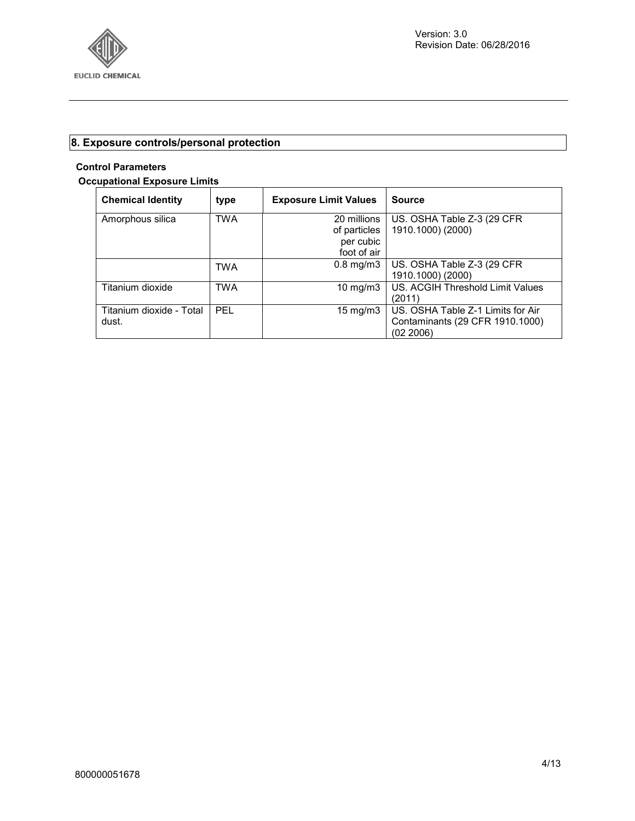

## **8. Exposure controls/personal protection**

### **Control Parameters**

#### **Occupational Exposure Limits**

| <b>Chemical Identity</b> | type       | <b>Exposure Limit Values</b> | <b>Source</b>                     |
|--------------------------|------------|------------------------------|-----------------------------------|
| Amorphous silica         | <b>TWA</b> | 20 millions                  | US. OSHA Table Z-3 (29 CFR)       |
|                          |            | of particles                 | 1910.1000) (2000)                 |
|                          |            | per cubic                    |                                   |
|                          |            | foot of air                  |                                   |
|                          | <b>TWA</b> | $0.8$ mg/m $3$               | US. OSHA Table Z-3 (29 CFR        |
|                          |            |                              | 1910.1000) (2000)                 |
| Titanium dioxide         | <b>TWA</b> | 10 mg/m $3$                  | US. ACGIH Threshold Limit Values  |
|                          |            |                              | (2011)                            |
| Titanium dioxide - Total | <b>PEL</b> | $15 \text{ mg/m}$            | US. OSHA Table Z-1 Limits for Air |
| dust.                    |            |                              | Contaminants (29 CFR 1910.1000)   |
|                          |            |                              | (02 2006)                         |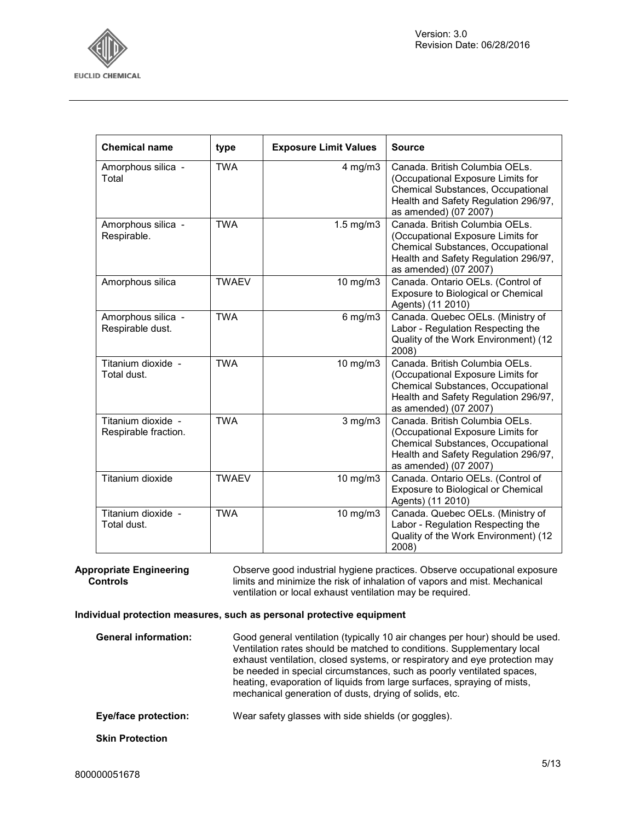

| <b>Chemical name</b>                       | type         | <b>Exposure Limit Values</b> | <b>Source</b>                                                                                                                                                             |
|--------------------------------------------|--------------|------------------------------|---------------------------------------------------------------------------------------------------------------------------------------------------------------------------|
| Amorphous silica -<br>Total                | <b>TWA</b>   | $4$ mg/m $3$                 | Canada. British Columbia OELs.<br>(Occupational Exposure Limits for<br>Chemical Substances, Occupational<br>Health and Safety Regulation 296/97,<br>as amended) (07 2007) |
| Amorphous silica -<br>Respirable.          | <b>TWA</b>   | $1.5$ mg/m $3$               | Canada. British Columbia OELs.<br>(Occupational Exposure Limits for<br>Chemical Substances, Occupational<br>Health and Safety Regulation 296/97,<br>as amended) (07 2007) |
| Amorphous silica                           | <b>TWAEV</b> | 10 mg/m3                     | Canada. Ontario OELs. (Control of<br>Exposure to Biological or Chemical<br>Agents) (11 2010)                                                                              |
| Amorphous silica -<br>Respirable dust.     | <b>TWA</b>   | $6$ mg/m $3$                 | Canada. Quebec OELs. (Ministry of<br>Labor - Regulation Respecting the<br>Quality of the Work Environment) (12<br>2008)                                                   |
| Titanium dioxide -<br>Total dust.          | <b>TWA</b>   | $10$ mg/m $3$                | Canada. British Columbia OELs.<br>(Occupational Exposure Limits for<br>Chemical Substances, Occupational<br>Health and Safety Regulation 296/97,<br>as amended) (07 2007) |
| Titanium dioxide -<br>Respirable fraction. | <b>TWA</b>   | $3$ mg/m $3$                 | Canada. British Columbia OELs.<br>(Occupational Exposure Limits for<br>Chemical Substances, Occupational<br>Health and Safety Regulation 296/97,<br>as amended) (07 2007) |
| Titanium dioxide                           | <b>TWAEV</b> | 10 mg/m3                     | Canada. Ontario OELs. (Control of<br>Exposure to Biological or Chemical<br>Agents) (11 2010)                                                                              |
| Titanium dioxide -<br>Total dust.          | <b>TWA</b>   | 10 mg/m3                     | Canada. Quebec OELs. (Ministry of<br>Labor - Regulation Respecting the<br>Quality of the Work Environment) (12<br>2008)                                                   |

**Appropriate Engineering Controls** 

Observe good industrial hygiene practices. Observe occupational exposure limits and minimize the risk of inhalation of vapors and mist. Mechanical ventilation or local exhaust ventilation may be required.

#### **Individual protection measures, such as personal protective equipment**

| <b>General information:</b> | Good general ventilation (typically 10 air changes per hour) should be used.<br>Ventilation rates should be matched to conditions. Supplementary local<br>exhaust ventilation, closed systems, or respiratory and eye protection may<br>be needed in special circumstances, such as poorly ventilated spaces,<br>heating, evaporation of liquids from large surfaces, spraying of mists,<br>mechanical generation of dusts, drying of solids, etc. |  |
|-----------------------------|----------------------------------------------------------------------------------------------------------------------------------------------------------------------------------------------------------------------------------------------------------------------------------------------------------------------------------------------------------------------------------------------------------------------------------------------------|--|
| Eye/face protection:        | Wear safety glasses with side shields (or goggles).                                                                                                                                                                                                                                                                                                                                                                                                |  |
| <b>Skin Protection</b>      |                                                                                                                                                                                                                                                                                                                                                                                                                                                    |  |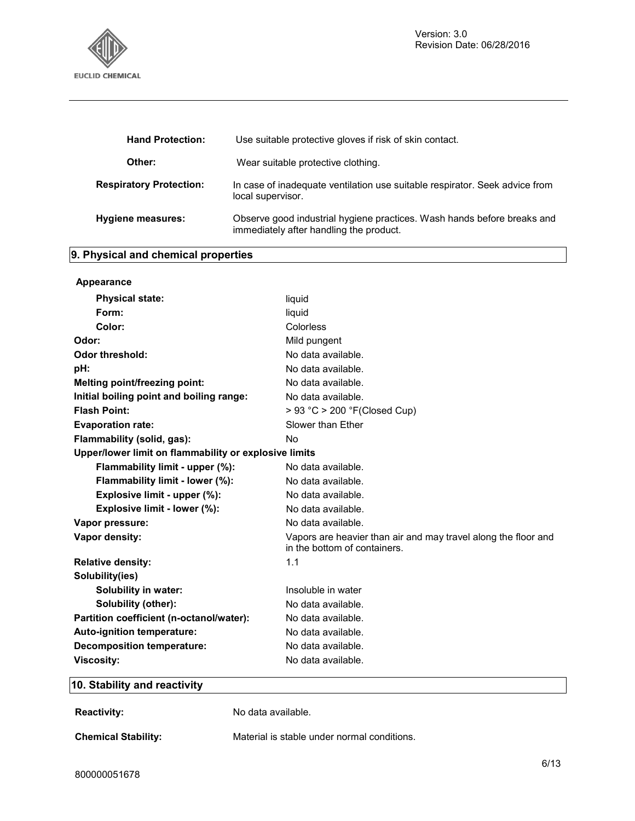

| <b>Hand Protection:</b>        | Use suitable protective gloves if risk of skin contact.                                                            |  |
|--------------------------------|--------------------------------------------------------------------------------------------------------------------|--|
| Other:                         | Wear suitable protective clothing.                                                                                 |  |
| <b>Respiratory Protection:</b> | In case of inadequate ventilation use suitable respirator. Seek advice from<br>local supervisor.                   |  |
| Hygiene measures:              | Observe good industrial hygiene practices. Wash hands before breaks and<br>immediately after handling the product. |  |

# **9. Physical and chemical properties**

| Appearance                                            |                                                                                                |  |  |
|-------------------------------------------------------|------------------------------------------------------------------------------------------------|--|--|
| <b>Physical state:</b>                                | liquid                                                                                         |  |  |
| Form:                                                 | liquid                                                                                         |  |  |
| Color:                                                | Colorless                                                                                      |  |  |
| Odor:                                                 | Mild pungent                                                                                   |  |  |
| <b>Odor threshold:</b>                                | No data available.                                                                             |  |  |
| pH:                                                   | No data available.                                                                             |  |  |
| Melting point/freezing point:                         | No data available.                                                                             |  |  |
| Initial boiling point and boiling range:              | No data available.                                                                             |  |  |
| <b>Flash Point:</b>                                   | > 93 °C > 200 °F(Closed Cup)                                                                   |  |  |
| <b>Evaporation rate:</b>                              | Slower than Ether                                                                              |  |  |
| Flammability (solid, gas):                            | No                                                                                             |  |  |
| Upper/lower limit on flammability or explosive limits |                                                                                                |  |  |
| Flammability limit - upper (%):                       | No data available.                                                                             |  |  |
| Flammability limit - lower (%):                       | No data available.                                                                             |  |  |
| Explosive limit - upper (%):                          | No data available.                                                                             |  |  |
| Explosive limit - lower (%):                          | No data available.                                                                             |  |  |
| Vapor pressure:                                       | No data available.                                                                             |  |  |
| Vapor density:                                        | Vapors are heavier than air and may travel along the floor and<br>in the bottom of containers. |  |  |
| <b>Relative density:</b>                              | 1.1                                                                                            |  |  |
| Solubility(ies)                                       |                                                                                                |  |  |
| <b>Solubility in water:</b>                           | Insoluble in water                                                                             |  |  |
| Solubility (other):                                   | No data available.                                                                             |  |  |
| Partition coefficient (n-octanol/water):              | No data available.                                                                             |  |  |
| Auto-ignition temperature:                            | No data available.                                                                             |  |  |
| <b>Decomposition temperature:</b>                     | No data available.                                                                             |  |  |
| <b>Viscosity:</b>                                     | No data available.                                                                             |  |  |

### **10. Stability and reactivity**

| <b>Reactivity:</b>         | No data available.                          |
|----------------------------|---------------------------------------------|
| <b>Chemical Stability:</b> | Material is stable under normal conditions. |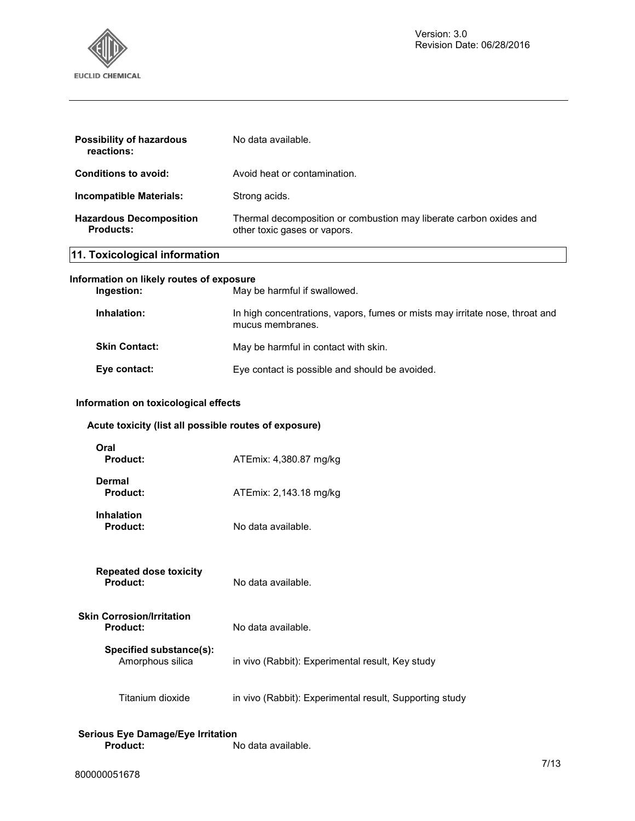

| <b>Possibility of hazardous</b><br>reactions:      | No data available.                                                                                 |
|----------------------------------------------------|----------------------------------------------------------------------------------------------------|
| <b>Conditions to avoid:</b>                        | Avoid heat or contamination.                                                                       |
| Incompatible Materials:                            | Strong acids.                                                                                      |
| <b>Hazardous Decomposition</b><br><b>Products:</b> | Thermal decomposition or combustion may liberate carbon oxides and<br>other toxic gases or vapors. |
| 11. Toxicological information                      |                                                                                                    |
| Information on likely routes of exposure           |                                                                                                    |
| Ingestion:                                         | May be harmful if swallowed.                                                                       |
| Inhalation:                                        | In high concentrations, vapors, fumes or mists may irritate nose, throat and<br>mucus membranes.   |
| <b>Skin Contact:</b>                               | May be harmful in contact with skin.                                                               |

# Eye contact: Eye contact is possible and should be avoided.

#### **Information on toxicological effects**

#### **Acute toxicity (list all possible routes of exposure)**

| Oral<br><b>Product:</b>                      | ATEmix: 4,380.87 mg/kg                                  |
|----------------------------------------------|---------------------------------------------------------|
| Dermal<br><b>Product:</b>                    | ATEmix: 2,143.18 mg/kg                                  |
| <b>Inhalation</b><br><b>Product:</b>         | No data available.                                      |
| Repeated dose toxicity<br><b>Product:</b>    | No data available.                                      |
| Skin Corrosion/Irritation<br><b>Product:</b> | No data available.                                      |
| Specified substance(s):<br>Amorphous silica  | in vivo (Rabbit): Experimental result, Key study        |
| Titanium dioxide                             | in vivo (Rabbit): Experimental result, Supporting study |

#### **Serious Eye Damage/Eye Irritation Product:** No data available.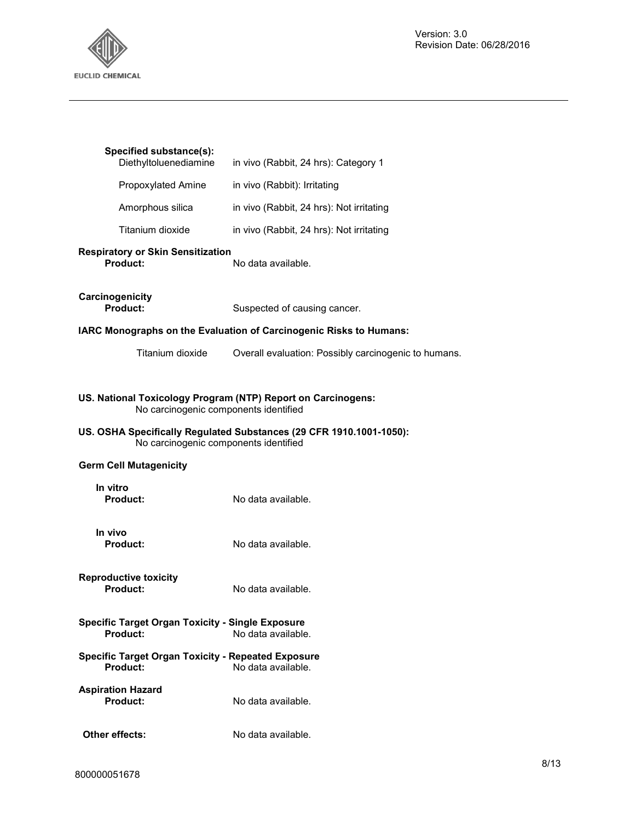

| Specified substance(s):<br>Diethyltoluenediamine                                                      | in vivo (Rabbit, 24 hrs): Category 1                                |  |
|-------------------------------------------------------------------------------------------------------|---------------------------------------------------------------------|--|
| Propoxylated Amine                                                                                    | in vivo (Rabbit): Irritating                                        |  |
| Amorphous silica                                                                                      | in vivo (Rabbit, 24 hrs): Not irritating                            |  |
| Titanium dioxide                                                                                      | in vivo (Rabbit, 24 hrs): Not irritating                            |  |
| <b>Respiratory or Skin Sensitization</b><br>Product:                                                  | No data available.                                                  |  |
| Carcinogenicity<br>Product:                                                                           | Suspected of causing cancer.                                        |  |
|                                                                                                       | IARC Monographs on the Evaluation of Carcinogenic Risks to Humans:  |  |
| Titanium dioxide                                                                                      | Overall evaluation: Possibly carcinogenic to humans.                |  |
| US. National Toxicology Program (NTP) Report on Carcinogens:<br>No carcinogenic components identified |                                                                     |  |
| No carcinogenic components identified                                                                 | US. OSHA Specifically Regulated Substances (29 CFR 1910.1001-1050): |  |
| <b>Germ Cell Mutagenicity</b>                                                                         |                                                                     |  |
| In vitro                                                                                              |                                                                     |  |
| Product:                                                                                              | No data available.                                                  |  |
| In vivo<br><b>Product:</b>                                                                            | No data available.                                                  |  |
| <b>Reproductive toxicity</b><br>Product:                                                              | No data available.                                                  |  |
| <b>Specific Target Organ Toxicity - Single Exposure</b><br>Product:                                   | No data available.                                                  |  |
| <b>Specific Target Organ Toxicity - Repeated Exposure</b><br>Product:                                 | No data available.                                                  |  |
| <b>Aspiration Hazard</b><br>Product:                                                                  | No data available.                                                  |  |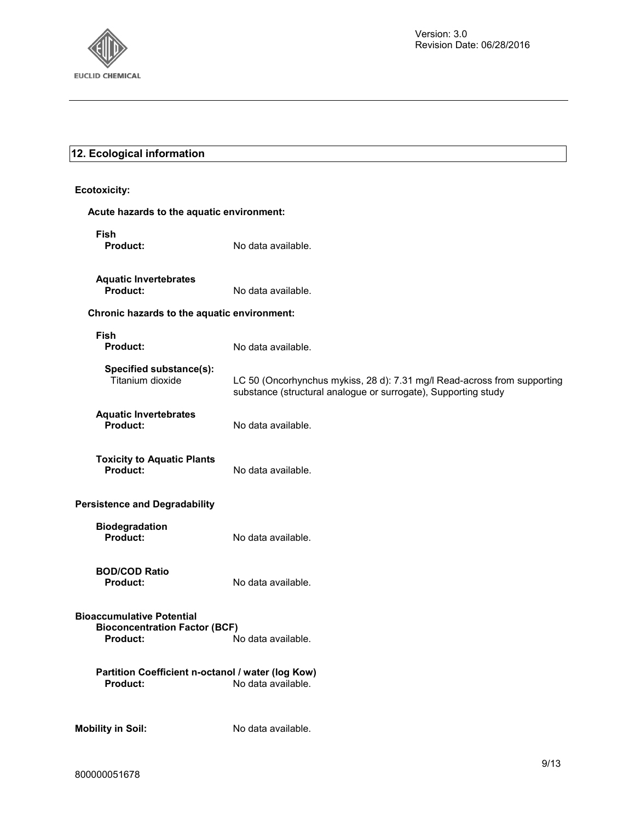

### **12. Ecological information**

**Ecotoxicity: Acute hazards to the aquatic environment: Fish Product:** No data available. **Aquatic Invertebrates Product:** No data available. **Chronic hazards to the aquatic environment: Fish Product:** No data available. **Specified substance(s):**  Titanium dioxide LC 50 (Oncorhynchus mykiss, 28 d): 7.31 mg/l Read-across from supporting substance (structural analogue or surrogate), Supporting study **Aquatic Invertebrates Product:** No data available. **Toxicity to Aquatic Plants Product:** No data available. **Persistence and Degradability Biodegradation Product:** No data available. **BOD/COD Ratio Product:** No data available. **Bioaccumulative Potential Bioconcentration Factor (BCF)**  No data available. **Partition Coefficient n-octanol / water (log Kow) Product:** No data available. **Mobility in Soil:** No data available.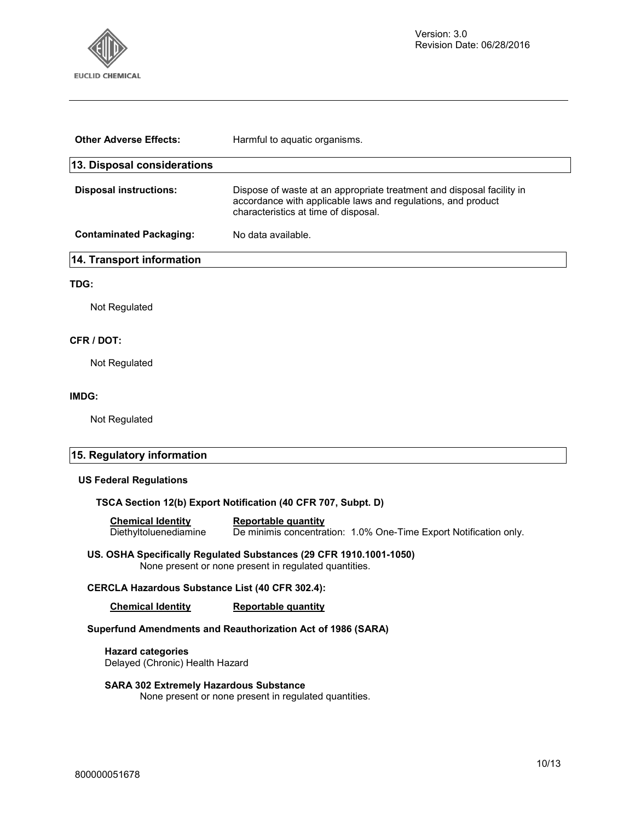

| <b>Other Adverse Effects:</b>  | Harmful to aquatic organisms.                                                                                                                                                 |
|--------------------------------|-------------------------------------------------------------------------------------------------------------------------------------------------------------------------------|
| 13. Disposal considerations    |                                                                                                                                                                               |
| <b>Disposal instructions:</b>  | Dispose of waste at an appropriate treatment and disposal facility in<br>accordance with applicable laws and regulations, and product<br>characteristics at time of disposal. |
| <b>Contaminated Packaging:</b> | No data available.                                                                                                                                                            |
| 14. Transport information      |                                                                                                                                                                               |
| TDG:                           |                                                                                                                                                                               |

Not Regulated

#### **CFR / DOT:**

Not Regulated

#### **IMDG:**

Not Regulated

#### **15. Regulatory information**

#### **US Federal Regulations**

#### **TSCA Section 12(b) Export Notification (40 CFR 707, Subpt. D)**

**Chemical Identity Reportable quantity**  De minimis concentration: 1.0% One-Time Export Notification only.

#### **US. OSHA Specifically Regulated Substances (29 CFR 1910.1001-1050)**  None present or none present in regulated quantities.

#### **CERCLA Hazardous Substance List (40 CFR 302.4):**

**Chemical Identity Reportable quantity** 

#### **Superfund Amendments and Reauthorization Act of 1986 (SARA)**

**Hazard categories**  Delayed (Chronic) Health Hazard

#### **SARA 302 Extremely Hazardous Substance**

None present or none present in regulated quantities.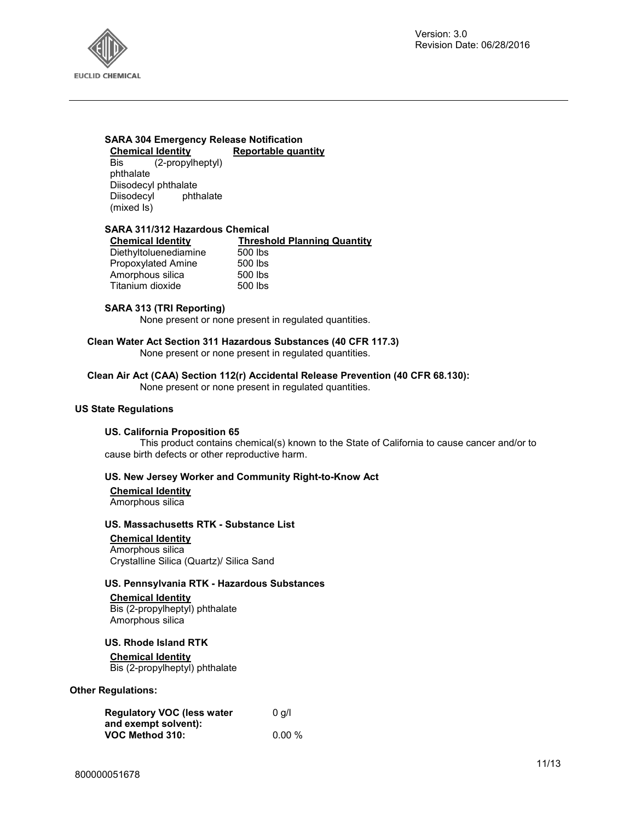

# **SARA 304 Emergency Release Notification Chemical Identity Reportable quantity**<br>Bis (2-propylheptyl)

(2-propylheptyl) phthalate Diisodecyl phthalate Diisodecyl phthalate (mixed Is)

#### **SARA 311/312 Hazardous Chemical**

| <b>Chemical Identity</b> | <b>Threshold Planning Quantity</b> |
|--------------------------|------------------------------------|
| Diethyltoluenediamine    | 500 lbs                            |
| Propoxylated Amine       | 500 lbs                            |
| Amorphous silica         | 500 lbs                            |
| Titanium dioxide         | 500 lbs                            |

#### **SARA 313 (TRI Reporting)**

None present or none present in regulated quantities.

**Clean Water Act Section 311 Hazardous Substances (40 CFR 117.3)**  None present or none present in regulated quantities.

**Clean Air Act (CAA) Section 112(r) Accidental Release Prevention (40 CFR 68.130):**  None present or none present in regulated quantities.

#### **US State Regulations**

#### **US. California Proposition 65**

This product contains chemical(s) known to the State of California to cause cancer and/or to cause birth defects or other reproductive harm.

#### **US. New Jersey Worker and Community Right-to-Know Act**

**Chemical Identity** Amorphous silica

#### **US. Massachusetts RTK - Substance List**

**Chemical Identity** Amorphous silica Crystalline Silica (Quartz)/ Silica Sand

#### **US. Pennsylvania RTK - Hazardous Substances**

**Chemical Identity** Bis (2-propylheptyl) phthalate Amorphous silica

**US. Rhode Island RTK** 

#### **Chemical Identity**

Bis (2-propylheptyl) phthalate

#### **Other Regulations:**

| <b>Regulatory VOC (less water</b> | 0 q/l     |
|-----------------------------------|-----------|
| and exempt solvent):              |           |
| VOC Method 310:                   | $0.00 \%$ |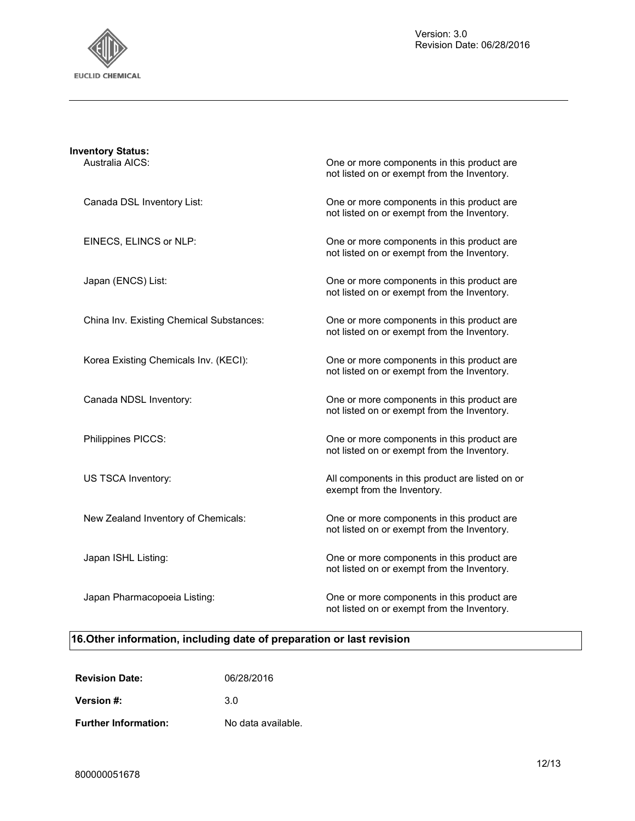

| <b>Inventory Status:</b><br>Australia AICS: | One or more components in this product are<br>not listed on or exempt from the Inventory. |
|---------------------------------------------|-------------------------------------------------------------------------------------------|
| Canada DSL Inventory List:                  | One or more components in this product are<br>not listed on or exempt from the Inventory. |
| EINECS, ELINCS or NLP:                      | One or more components in this product are<br>not listed on or exempt from the Inventory. |
| Japan (ENCS) List:                          | One or more components in this product are<br>not listed on or exempt from the Inventory. |
| China Inv. Existing Chemical Substances:    | One or more components in this product are<br>not listed on or exempt from the Inventory. |
| Korea Existing Chemicals Inv. (KECI):       | One or more components in this product are<br>not listed on or exempt from the Inventory. |
| Canada NDSL Inventory:                      | One or more components in this product are<br>not listed on or exempt from the Inventory. |
| Philippines PICCS:                          | One or more components in this product are<br>not listed on or exempt from the Inventory. |
| US TSCA Inventory:                          | All components in this product are listed on or<br>exempt from the Inventory.             |
| New Zealand Inventory of Chemicals:         | One or more components in this product are<br>not listed on or exempt from the Inventory. |
| Japan ISHL Listing:                         | One or more components in this product are<br>not listed on or exempt from the Inventory. |
| Japan Pharmacopoeia Listing:                | One or more components in this product are<br>not listed on or exempt from the Inventory. |

# **16.Other information, including date of preparation or last revision**

| <b>Revision Date:</b>       | 06/28/2016         |
|-----------------------------|--------------------|
| Version #:                  | 3 O                |
| <b>Further Information:</b> | No data available. |